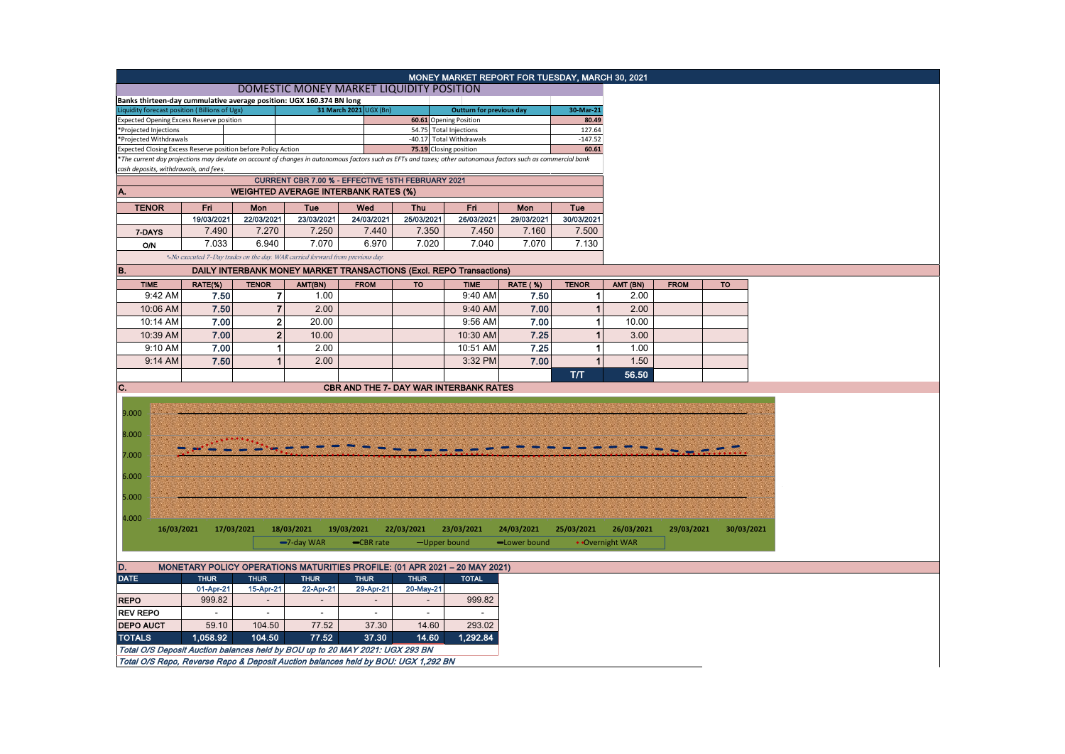|                                                                                                                                                                   |                                                                            |                                |                                                                               |             |             | MONEY MARKET REPORT FOR TUESDAY, MARCH 30, 2021  |                  |                 |  |  |  |
|-------------------------------------------------------------------------------------------------------------------------------------------------------------------|----------------------------------------------------------------------------|--------------------------------|-------------------------------------------------------------------------------|-------------|-------------|--------------------------------------------------|------------------|-----------------|--|--|--|
|                                                                                                                                                                   |                                                                            |                                | DOMESTIC MONEY MARKET LIQUIDITY POSITION                                      |             |             |                                                  |                  |                 |  |  |  |
| Banks thirteen-day cummulative average position: UGX 160.374 BN long                                                                                              |                                                                            |                                |                                                                               |             |             |                                                  |                  |                 |  |  |  |
| iquidity forecast position (Billions of Ugx)                                                                                                                      |                                                                            |                                | 31 March 2021 UGX (Bn)                                                        |             |             | <b>Outturn for previous day</b>                  |                  | 30-Mar-21       |  |  |  |
| xpected Opening Excess Reserve position                                                                                                                           |                                                                            |                                |                                                                               |             |             | 60.61 Opening Position<br>54.75 Total Injections |                  | 80.49<br>127.64 |  |  |  |
| *Projected Injections<br>*Projected Withdrawals                                                                                                                   |                                                                            |                                |                                                                               |             |             | -40.17 Total Withdrawals                         |                  | $-147.52$       |  |  |  |
| xpected Closing Excess Reserve position before Policy Action                                                                                                      |                                                                            |                                |                                                                               |             |             | 75.19 Closing position                           |                  | 60.61           |  |  |  |
| *The current day projections may deviate on account of changes in autonomous factors such as EFTs and taxes; other autonomous factors such as commercial bank     |                                                                            |                                |                                                                               |             |             |                                                  |                  |                 |  |  |  |
| cash deposits, withdrawals, and fees.                                                                                                                             |                                                                            |                                |                                                                               |             |             |                                                  |                  |                 |  |  |  |
| CURRENT CBR 7.00 % - EFFECTIVE 15TH FEBRUARY 2021                                                                                                                 |                                                                            |                                |                                                                               |             |             |                                                  |                  |                 |  |  |  |
| <b>WEIGHTED AVERAGE INTERBANK RATES (%)</b><br>А.                                                                                                                 |                                                                            |                                |                                                                               |             |             |                                                  |                  |                 |  |  |  |
| <b>TENOR</b>                                                                                                                                                      | Fri                                                                        | Mon                            | Tue                                                                           | Wed         | <b>Thu</b>  | Fri                                              | Mon              | Tue             |  |  |  |
|                                                                                                                                                                   | 19/03/2021                                                                 | 22/03/2021                     | 23/03/2021                                                                    | 24/03/2021  | 25/03/2021  | 26/03/2021                                       | 29/03/2021       | 30/03/2021      |  |  |  |
| 7-DAYS                                                                                                                                                            | 7.490                                                                      | 7.270                          | 7.250                                                                         | 7.440       | 7.350       | 7.450                                            | 7.160            | 7.500           |  |  |  |
| <b>O/N</b>                                                                                                                                                        | 7.033                                                                      | 6.940                          | 7.070                                                                         | 6.970       | 7.020       | 7.040                                            | 7.070            | 7.130           |  |  |  |
|                                                                                                                                                                   |                                                                            |                                | *-No executed 7-Day trades on the day. WAR carried forward from previous day. |             |             |                                                  |                  |                 |  |  |  |
| B.<br><b>DAILY INTERBANK MONEY MARKET TRANSACTIONS (Excl. REPO Transactions)</b>                                                                                  |                                                                            |                                |                                                                               |             |             |                                                  |                  |                 |  |  |  |
| <b>TIME</b>                                                                                                                                                       |                                                                            |                                |                                                                               |             | <b>TO</b>   | <b>TIME</b>                                      |                  | <b>TENOR</b>    |  |  |  |
| 9:42 AM                                                                                                                                                           | RATE(%)<br>7.50                                                            | <b>TENOR</b><br>$\overline{7}$ | AMT(BN)<br>1.00                                                               | <b>FROM</b> |             | 9:40 AM                                          | RATE (%)<br>7.50 | 1 <sup>1</sup>  |  |  |  |
|                                                                                                                                                                   |                                                                            |                                |                                                                               |             |             |                                                  |                  |                 |  |  |  |
| 10:06 AM                                                                                                                                                          | 7.50                                                                       | $\overline{7}$                 | 2.00                                                                          |             |             | 9:40 AM                                          | 7.00             | $\mathbf{1}$    |  |  |  |
| 10:14 AM                                                                                                                                                          | 7.00                                                                       | $\mathbf 2$                    | 20.00                                                                         |             |             | 9:56 AM                                          | 7.00             | 1               |  |  |  |
| 10:39 AM                                                                                                                                                          | 7.00                                                                       | $\mathbf{2}$                   | 10.00                                                                         |             |             | 10:30 AM                                         | 7.25             | $\mathbf{1}$    |  |  |  |
| 9:10 AM                                                                                                                                                           | 7.00                                                                       | 1                              | 2.00                                                                          |             |             | 10:51 AM                                         | 7.25             | 1               |  |  |  |
| 9:14 AM                                                                                                                                                           | 7.50                                                                       | $\mathbf 1$                    | 2.00                                                                          |             |             | 3:32 PM                                          | 7.00             | $\mathbf{1}$    |  |  |  |
|                                                                                                                                                                   |                                                                            |                                |                                                                               |             |             |                                                  |                  | TЛ              |  |  |  |
| C.                                                                                                                                                                |                                                                            |                                |                                                                               |             |             |                                                  |                  |                 |  |  |  |
|                                                                                                                                                                   | <b>CBR AND THE 7- DAY WAR INTERBANK RATES</b>                              |                                |                                                                               |             |             |                                                  |                  |                 |  |  |  |
|                                                                                                                                                                   |                                                                            |                                |                                                                               |             |             |                                                  |                  |                 |  |  |  |
| 9.000                                                                                                                                                             |                                                                            |                                |                                                                               |             |             |                                                  |                  |                 |  |  |  |
| 8.000                                                                                                                                                             |                                                                            |                                |                                                                               |             |             |                                                  |                  |                 |  |  |  |
|                                                                                                                                                                   |                                                                            |                                |                                                                               |             |             |                                                  |                  |                 |  |  |  |
| 7.000                                                                                                                                                             |                                                                            |                                |                                                                               |             |             |                                                  |                  |                 |  |  |  |
|                                                                                                                                                                   |                                                                            |                                |                                                                               |             |             |                                                  |                  |                 |  |  |  |
| 6.000                                                                                                                                                             |                                                                            |                                |                                                                               |             |             |                                                  |                  |                 |  |  |  |
|                                                                                                                                                                   |                                                                            |                                |                                                                               |             |             |                                                  |                  |                 |  |  |  |
| 5.000                                                                                                                                                             |                                                                            |                                |                                                                               |             |             |                                                  |                  |                 |  |  |  |
|                                                                                                                                                                   |                                                                            |                                |                                                                               |             |             |                                                  |                  |                 |  |  |  |
| 4.000                                                                                                                                                             |                                                                            |                                |                                                                               |             |             |                                                  |                  |                 |  |  |  |
| 16/03/2021                                                                                                                                                        |                                                                            | 17/03/2021                     | 18/03/2021                                                                    | 19/03/2021  | 22/03/2021  | 23/03/2021                                       | 24/03/2021       | 25/03/2021      |  |  |  |
|                                                                                                                                                                   |                                                                            |                                | -7-day WAR                                                                    | CBR rate    |             | -Upper bound                                     | -Lower bound     | • Overnight WAR |  |  |  |
|                                                                                                                                                                   |                                                                            |                                |                                                                               |             |             |                                                  |                  |                 |  |  |  |
| D.                                                                                                                                                                | MONETARY POLICY OPERATIONS MATURITIES PROFILE: (01 APR 2021 - 20 MAY 2021) |                                |                                                                               |             |             |                                                  |                  |                 |  |  |  |
| <b>DATE</b>                                                                                                                                                       | <b>THUR</b>                                                                | <b>THUR</b>                    | <b>THUR</b>                                                                   | <b>THUR</b> | <b>THUR</b> | <b>TOTAL</b>                                     |                  |                 |  |  |  |
|                                                                                                                                                                   | 01-Apr-21                                                                  | 15-Apr-21                      | 22-Apr-21                                                                     | 29-Apr-21   | 20-May-21   |                                                  |                  |                 |  |  |  |
| <b>REPO</b>                                                                                                                                                       | 999.82                                                                     |                                |                                                                               |             |             | 999.82                                           |                  |                 |  |  |  |
| <b>REV REPO</b>                                                                                                                                                   | $\blacksquare$                                                             |                                | $\overline{\phantom{a}}$                                                      |             |             | $\blacksquare$                                   |                  |                 |  |  |  |
| <b>DEPO AUCT</b>                                                                                                                                                  | 59.10                                                                      | 104.50                         | 77.52                                                                         | 37.30       | 14.60       | 293.02                                           |                  |                 |  |  |  |
| <b>TOTALS</b>                                                                                                                                                     | 1,058.92                                                                   | 104.50                         | 77.52                                                                         | 37.30       | 14.60       | 1,292.84                                         |                  |                 |  |  |  |
|                                                                                                                                                                   |                                                                            |                                |                                                                               |             |             |                                                  |                  |                 |  |  |  |
| Total O/S Deposit Auction balances held by BOU up to 20 MAY 2021: UGX 293 BN<br>Total O/S Repo, Reverse Repo & Deposit Auction balances held by BOU: UGX 1,292 BN |                                                                            |                                |                                                                               |             |             |                                                  |                  |                 |  |  |  |
|                                                                                                                                                                   |                                                                            |                                |                                                                               |             |             |                                                  |                  |                 |  |  |  |